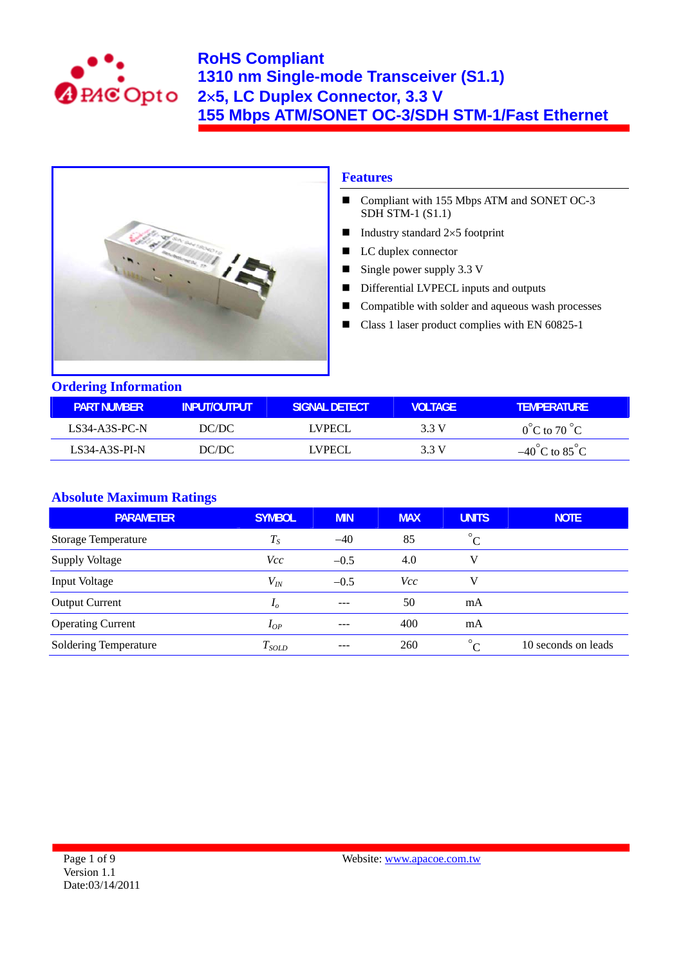



### **Features**

- Compliant with 155 Mbps ATM and SONET OC-3  $SDH$  STM-1  $(S1.1)$
- Industry standard  $2\times 5$  footprint
- LC duplex connector
- Single power supply  $3.3 \text{ V}$
- Differential LVPECL inputs and outputs
- Compatible with solder and aqueous wash processes
- Class 1 laser product complies with EN 60825-1

## **Ordering Information**

| <b>PART NUMBER</b> | INPUT/OUTPUT | ISIGNAL DETECT | VOI TAGF. | VEMPERATURE                       |
|--------------------|--------------|----------------|-----------|-----------------------------------|
| LS34-A3S-PC-N      | DC/DC        | I VPECI.       | 3 3 V     | $0^{\circ}$ C to 70 $^{\circ}$ C  |
| LS34-A3S-PI-N      | DC/DC        | LVPECL         | 3 3 V     | $-40^{\circ}$ C to $85^{\circ}$ C |

### **Absolute Maximum Ratings**

| <b>PARAMETER</b>           | <b>SYMBOL</b>  | <b>MIN</b> | <b>MAX</b> | <b>UNITS</b> | <b>NOTE</b>         |
|----------------------------|----------------|------------|------------|--------------|---------------------|
| <b>Storage Temperature</b> | $T_{S}$        | $-40$      | 85         | $^{\circ}$ C |                     |
| <b>Supply Voltage</b>      | <i>Vcc</i>     | $-0.5$     | 4.0        | V            |                     |
| Input Voltage              | $V_{I\!N}$     | $-0.5$     | <b>Vcc</b> | V            |                     |
| <b>Output Current</b>      | I <sub>o</sub> |            | 50         | mA           |                     |
| <b>Operating Current</b>   | $I_{OP}$       | ---        | 400        | mA           |                     |
| Soldering Temperature      | $T_{SOLD}$     |            | 260        | $^{\circ}C$  | 10 seconds on leads |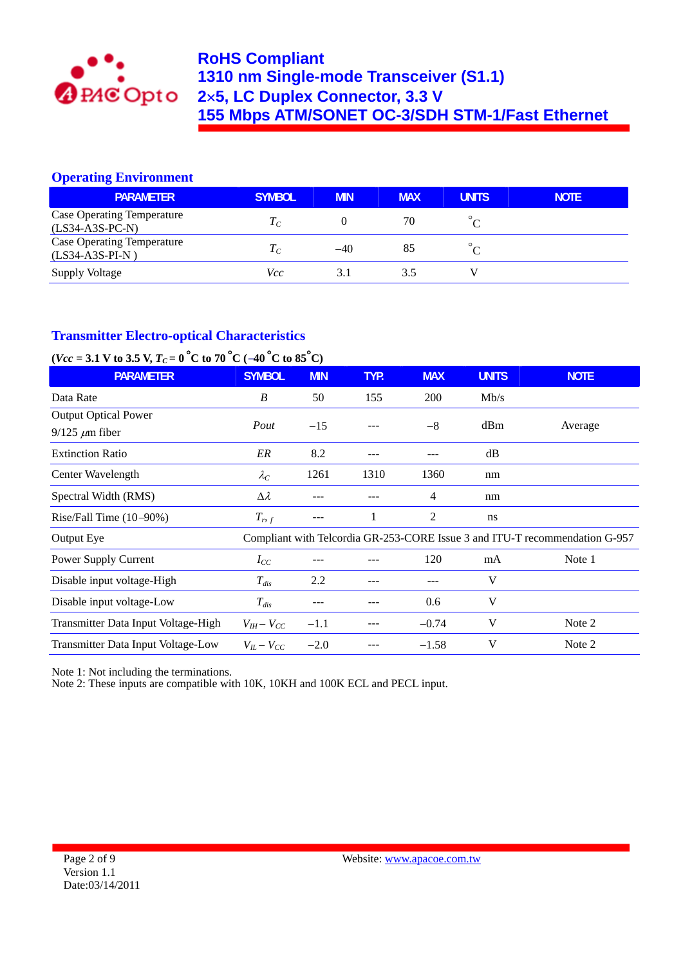

## **Operating Environment**

| <b>PARAMETER</b>                                       | <b>SYMBOL</b> | <b>MIN</b> | <b>MAX</b> | <b>UNITS</b> | <b>NOTE</b> |
|--------------------------------------------------------|---------------|------------|------------|--------------|-------------|
| <b>Case Operating Temperature</b><br>$(LS34-A3S-PC-N)$ | $1 \, \sigma$ |            | 70         |              |             |
| <b>Case Operating Temperature</b><br>$(LS34-A3S-PI-N)$ |               | $-40$      | 85         |              |             |
| <b>Supply Voltage</b>                                  | Vcc           | 3.1        | 3.5        |              |             |

# **Transmitter Electro-optical Characteristics**

# $(*Vcc* = 3.1 V to 3.5 V, T<sub>C</sub> = 0<sup>°</sup>C to 70<sup>°</sup>C (-40<sup>°</sup>C to 85<sup>°</sup>C)$

| <b>PARAMETER</b>                    | <b>SYMBOL</b>     | <b>MIN</b> | TYP. | <b>MAX</b> | <b>UNITS</b> | <b>NOTE</b>                                                                 |
|-------------------------------------|-------------------|------------|------|------------|--------------|-----------------------------------------------------------------------------|
| Data Rate                           | B                 | 50         | 155  | 200        | Mb/s         |                                                                             |
| <b>Output Optical Power</b>         |                   |            |      | $-8$       |              |                                                                             |
| $9/125 \mu m$ fiber                 | Pout              | $-15$      |      |            | dBm          | Average                                                                     |
| <b>Extinction Ratio</b>             | ER                | 8.2        |      |            | dB           |                                                                             |
| Center Wavelength                   | $\lambda_C$       | 1261       | 1310 | 1360       | nm           |                                                                             |
| Spectral Width (RMS)                | $\Delta \lambda$  |            |      | 4          | nm           |                                                                             |
| Rise/Fall Time $(10-90%)$           | $T_{r,f}$         | ---        |      | 2          | ns           |                                                                             |
| Output Eye                          |                   |            |      |            |              | Compliant with Telcordia GR-253-CORE Issue 3 and ITU-T recommendation G-957 |
| Power Supply Current                | $I_{CC}$          |            |      | 120        | mA           | Note 1                                                                      |
| Disable input voltage-High          | $T_{dis}$         | 2.2        |      |            | V            |                                                                             |
| Disable input voltage-Low           | $T_{dis}$         |            |      | 0.6        | V            |                                                                             |
| Transmitter Data Input Voltage-High | $V_{IH} - V_{CC}$ | $-1.1$     |      | $-0.74$    | V            | Note 2                                                                      |
| Transmitter Data Input Voltage-Low  | $V_{IL}-V_{CC}$   | $-2.0$     |      | $-1.58$    | V            | Note 2                                                                      |

Note 1: Not including the terminations.

Note 2: These inputs are compatible with 10K, 10KH and 100K ECL and PECL input.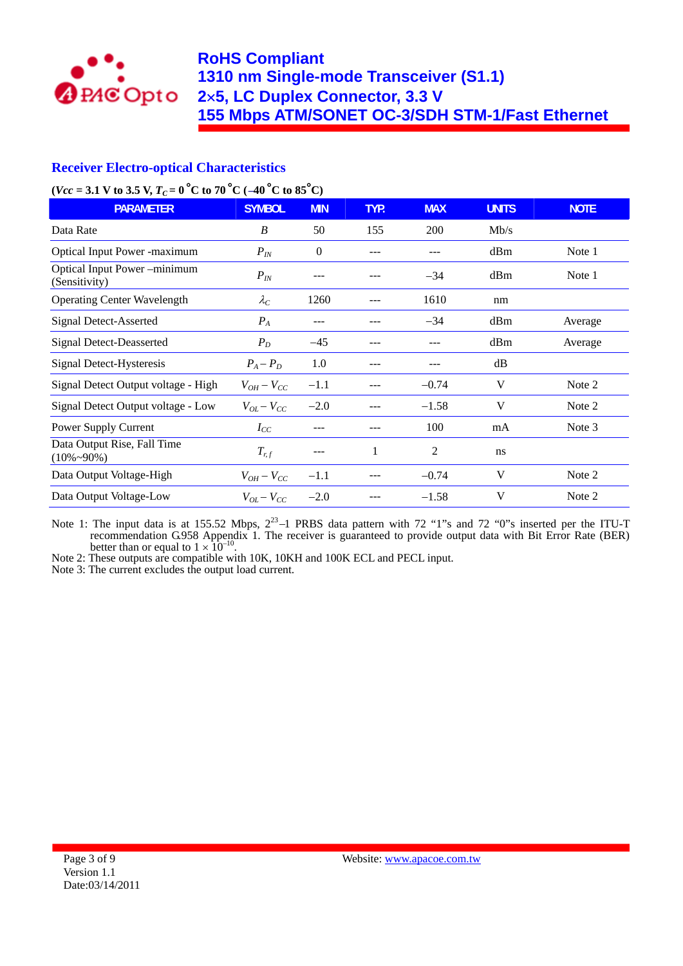

## **Receiver Electro-optical Characteristics**

### $(*Vcc* = 3.1 V to 3.5 V, *Tc* = 0<sup>°</sup>C to 70<sup>°</sup>C (-40<sup>°</sup>C to 85<sup>°</sup>C)$

| <b>PARAMETER</b>                                  | <b>SYMBOL</b>     | <b>MIN</b> | TYP. | <b>MAX</b> | <b>UNITS</b> | <b>NOTE</b> |
|---------------------------------------------------|-------------------|------------|------|------------|--------------|-------------|
| Data Rate                                         | B                 | 50         | 155  | 200        | Mb/s         |             |
| <b>Optical Input Power -maximum</b>               | $P_{I\!N}$        | $\theta$   |      |            | dBm          | Note 1      |
| Optical Input Power -minimum<br>(Sensitivity)     | $P_{I\!N}$        |            |      | $-34$      | dBm          | Note 1      |
| <b>Operating Center Wavelength</b>                | $\lambda_C$       | 1260       |      | 1610       | nm           |             |
| <b>Signal Detect-Asserted</b>                     | $P_A$             | ---        |      | $-34$      | dBm          | Average     |
| <b>Signal Detect-Deasserted</b>                   | $P_D$             | $-45$      |      |            | dBm          | Average     |
| Signal Detect-Hysteresis                          | $P_A - P_D$       | 1.0        |      |            | dB           |             |
| Signal Detect Output voltage - High               | $V_{OH}-V_{CC}$   | $-1.1$     |      | $-0.74$    | $\mathbf V$  | Note 2      |
| Signal Detect Output voltage - Low                | $V_{OL}-V_{CC}$   | $-2.0$     |      | $-1.58$    | V            | Note 2      |
| Power Supply Current                              | $I_{CC}$          |            |      | 100        | mA           | Note 3      |
| Data Output Rise, Fall Time<br>$(10\% \sim 90\%)$ | $T_{r,f}$         | ---        |      | 2          | ns           |             |
| Data Output Voltage-High                          | $V_{OH}-V_{CC}$   | $-1.1$     |      | $-0.74$    | V            | Note 2      |
| Data Output Voltage-Low                           | $V_{OL} - V_{CC}$ | $-2.0$     |      | $-1.58$    | V            | Note 2      |

Note 1: The input data is at 155.52 Mbps,  $2^{23}$ -1 PRBS data pattern with 72 "1"s and 72 "0"s inserted per the ITU-T recommendation G.958 Appendix 1. The receiver is guaranteed to provide output data with Bit Error Rate (BER) better than or equal to  $1 \times 10^{-10}$ .<br>Note 2: These outputs are compatible with 10K, 10KH and 100K ECL and PECL input.

Note 3: The current excludes the output load current.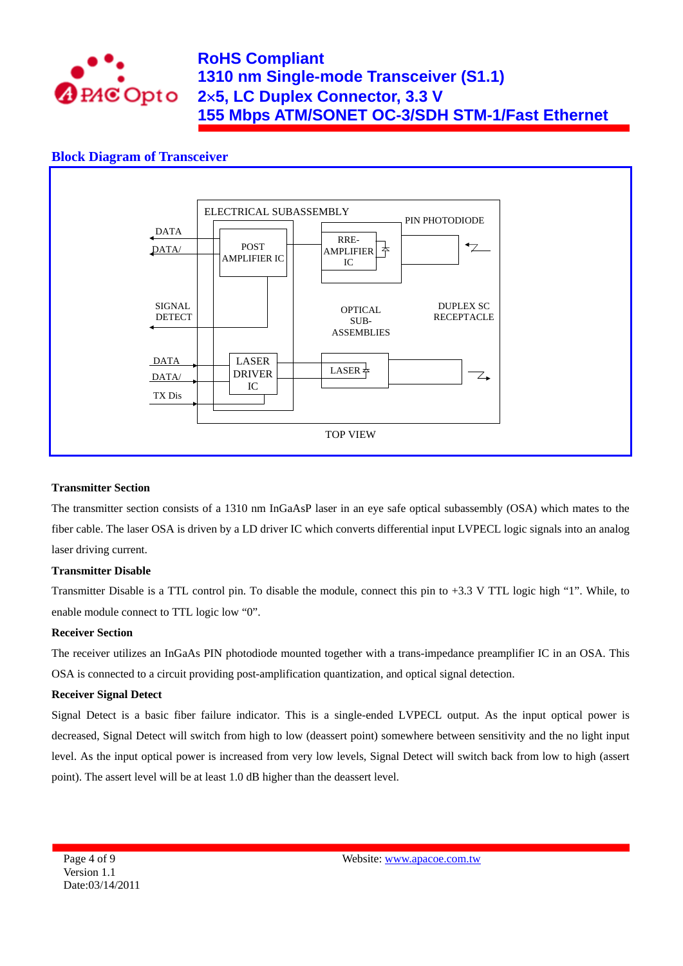

## **Block Diagram of Transceiver**



#### **Transmitter Section**

The transmitter section consists of a 1310 nm InGaAsP laser in an eye safe optical subassembly (OSA) which mates to the fiber cable. The laser OSA is driven by a LD driver IC which converts differential input LVPECL logic signals into an analog laser driving current.

#### **Transmitter Disable**

Transmitter Disable is a TTL control pin. To disable the module, connect this pin to +3.3 V TTL logic high "1". While, to enable module connect to TTL logic low "0".

#### **Receiver Section**

The receiver utilizes an InGaAs PIN photodiode mounted together with a trans-impedance preamplifier IC in an OSA. This OSA is connected to a circuit providing post-amplification quantization, and optical signal detection.

#### **Receiver Signal Detect**

Signal Detect is a basic fiber failure indicator. This is a single-ended LVPECL output. As the input optical power is decreased, Signal Detect will switch from high to low (deassert point) somewhere between sensitivity and the no light input level. As the input optical power is increased from very low levels, Signal Detect will switch back from low to high (assert point). The assert level will be at least 1.0 dB higher than the deassert level.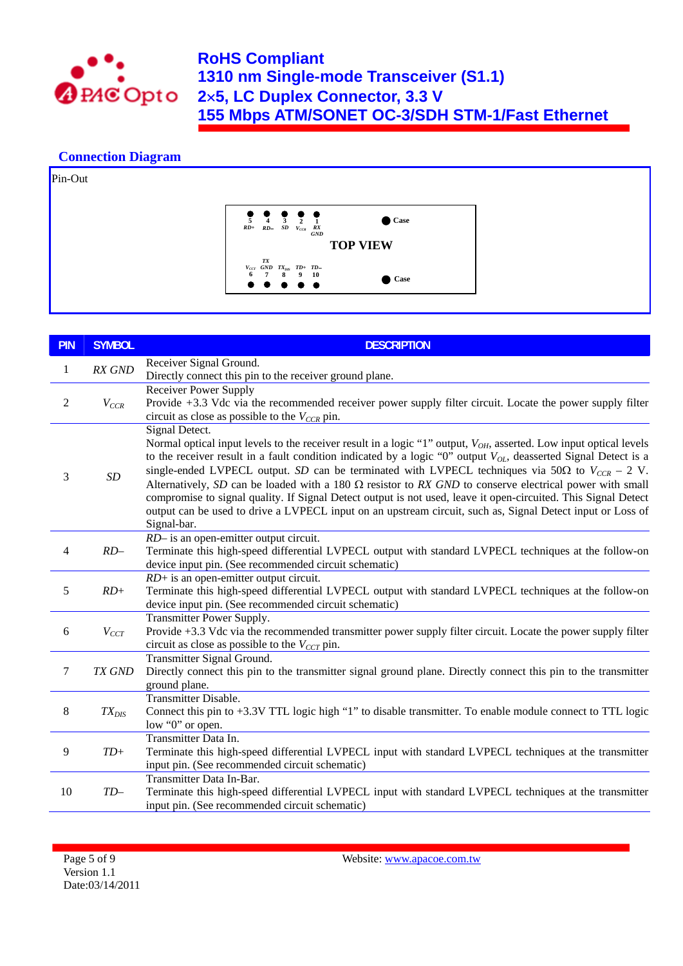

## **Connection Diagram**



| <b>PIN</b>     | <b>SYMBOL</b> | <b>DESCRIPTION</b>                                                                                                                                                                                                                                                                                                                                                                                                                                                                                                                                                                                                                                                                                                                                |
|----------------|---------------|---------------------------------------------------------------------------------------------------------------------------------------------------------------------------------------------------------------------------------------------------------------------------------------------------------------------------------------------------------------------------------------------------------------------------------------------------------------------------------------------------------------------------------------------------------------------------------------------------------------------------------------------------------------------------------------------------------------------------------------------------|
| $\mathbf{1}$   | RX GND        | Receiver Signal Ground.<br>Directly connect this pin to the receiver ground plane.                                                                                                                                                                                                                                                                                                                                                                                                                                                                                                                                                                                                                                                                |
| $\overline{2}$ | $V_{CCR}$     | Receiver Power Supply<br>Provide +3.3 Vdc via the recommended receiver power supply filter circuit. Locate the power supply filter<br>circuit as close as possible to the $V_{CCR}$ pin.                                                                                                                                                                                                                                                                                                                                                                                                                                                                                                                                                          |
| 3              | $\cal SD$     | Signal Detect.<br>Normal optical input levels to the receiver result in a logic "1" output, $V_{OH}$ , asserted. Low input optical levels<br>to the receiver result in a fault condition indicated by a logic "0" output $V_{OL}$ , deasserted Signal Detect is a<br>single-ended LVPECL output. SD can be terminated with LVPECL techniques via 50 $\Omega$ to $V_{CCR}$ – 2 V.<br>Alternatively, SD can be loaded with a 180 $\Omega$ resistor to RX GND to conserve electrical power with small<br>compromise to signal quality. If Signal Detect output is not used, leave it open-circuited. This Signal Detect<br>output can be used to drive a LVPECL input on an upstream circuit, such as, Signal Detect input or Loss of<br>Signal-bar. |
| $\overline{4}$ | $RD-$         | RD- is an open-emitter output circuit.<br>Terminate this high-speed differential LVPECL output with standard LVPECL techniques at the follow-on<br>device input pin. (See recommended circuit schematic)                                                                                                                                                                                                                                                                                                                                                                                                                                                                                                                                          |
| 5              | $RD+$         | $RD+$ is an open-emitter output circuit.<br>Terminate this high-speed differential LVPECL output with standard LVPECL techniques at the follow-on<br>device input pin. (See recommended circuit schematic)                                                                                                                                                                                                                                                                                                                                                                                                                                                                                                                                        |
| 6              | $V_{CCT}$     | Transmitter Power Supply.<br>Provide +3.3 Vdc via the recommended transmitter power supply filter circuit. Locate the power supply filter<br>circuit as close as possible to the $V_{CCT}$ pin.                                                                                                                                                                                                                                                                                                                                                                                                                                                                                                                                                   |
| $\overline{7}$ | TX GND        | Transmitter Signal Ground.<br>Directly connect this pin to the transmitter signal ground plane. Directly connect this pin to the transmitter<br>ground plane.                                                                                                                                                                                                                                                                                                                                                                                                                                                                                                                                                                                     |
| 8              | $TX_{DIS}$    | Transmitter Disable.<br>Connect this pin to +3.3V TTL logic high "1" to disable transmitter. To enable module connect to TTL logic<br>low "0" or open.                                                                                                                                                                                                                                                                                                                                                                                                                                                                                                                                                                                            |
| 9              | $TD+$         | Transmitter Data In.<br>Terminate this high-speed differential LVPECL input with standard LVPECL techniques at the transmitter<br>input pin. (See recommended circuit schematic)                                                                                                                                                                                                                                                                                                                                                                                                                                                                                                                                                                  |
| 10             | $TD-$         | Transmitter Data In-Bar.<br>Terminate this high-speed differential LVPECL input with standard LVPECL techniques at the transmitter<br>input pin. (See recommended circuit schematic)                                                                                                                                                                                                                                                                                                                                                                                                                                                                                                                                                              |

Website: www.apacoe.com.tw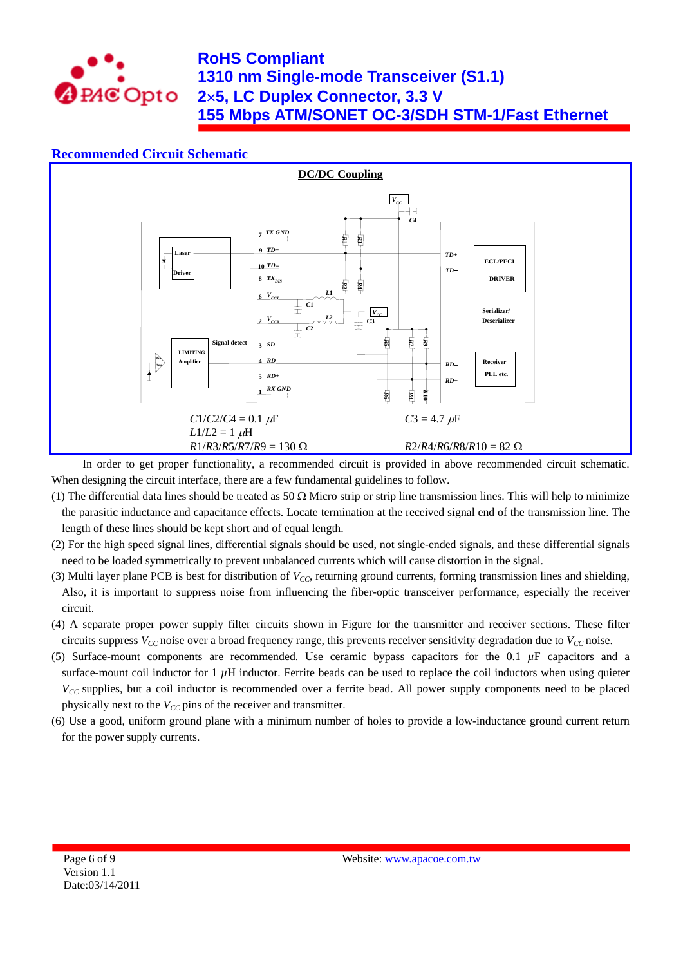

## **Recommended Circuit Schematic**



In order to get proper functionality, a recommended circuit is provided in above recommended circuit schematic. When designing the circuit interface, there are a few fundamental guidelines to follow.

- (1) The differential data lines should be treated as 50  $\Omega$  Micro strip or strip line transmission lines. This will help to minimize the parasitic inductance and capacitance effects. Locate termination at the received signal end of the transmission line. The length of these lines should be kept short and of equal length.
- (2) For the high speed signal lines, differential signals should be used, not single-ended signals, and these differential signals need to be loaded symmetrically to prevent unbalanced currents which will cause distortion in the signal.
- (3) Multi layer plane PCB is best for distribution of  $V_{CC}$ , returning ground currents, forming transmission lines and shielding, Also, it is important to suppress noise from influencing the fiber-optic transceiver performance, especially the receiver circuit.
- (4) A separate proper power supply filter circuits shown in Figure for the transmitter and receiver sections. These filter circuits suppress  $V_{CC}$  noise over a broad frequency range, this prevents receiver sensitivity degradation due to  $V_{CC}$  noise.
- (5) Surface-mount components are recommended. Use ceramic bypass capacitors for the 0.1 *µ*F capacitors and a surface-mount coil inductor for  $1 \mu$ H inductor. Ferrite beads can be used to replace the coil inductors when using quieter *V<sub>CC</sub>* supplies, but a coil inductor is recommended over a ferrite bead. All power supply components need to be placed physically next to the  $V_{CC}$  pins of the receiver and transmitter.
- (6) Use a good, uniform ground plane with a minimum number of holes to provide a low-inductance ground current return for the power supply currents.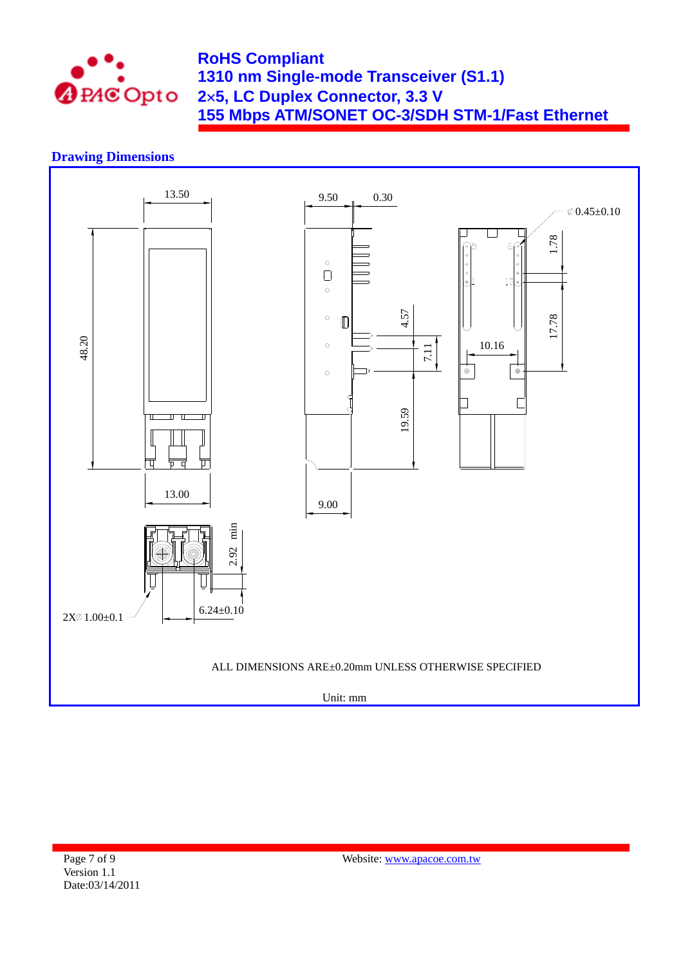

## **Drawing Dimensions**

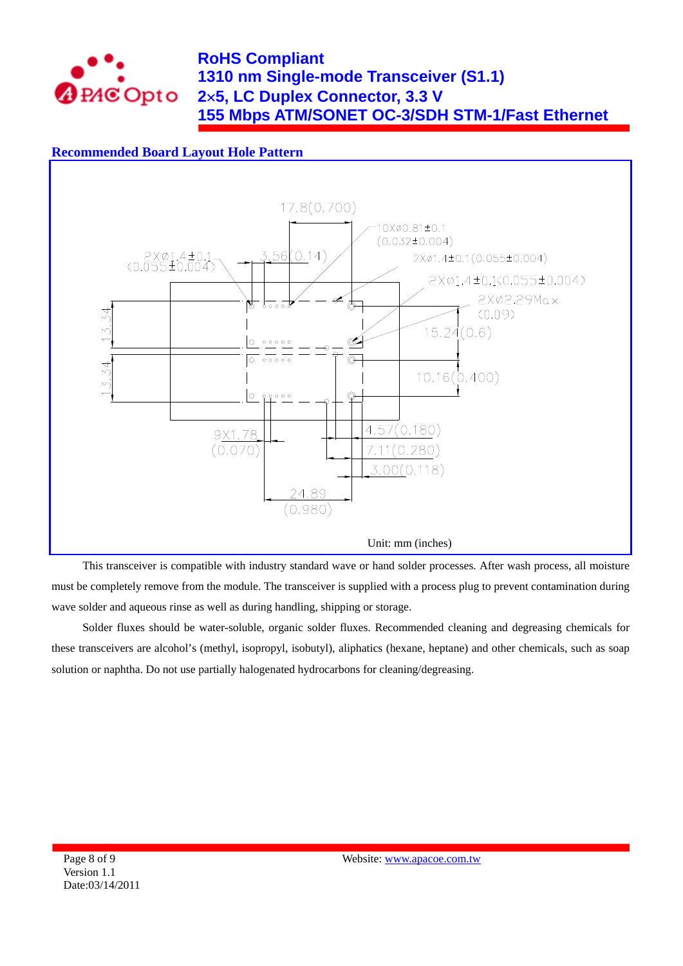

## **Recommended Board Layout Hole Pattern**



This transceiver is compatible with industry standard wave or hand solder processes. After wash process, all moisture must be completely remove from the module. The transceiver is supplied with a process plug to prevent contamination during wave solder and aqueous rinse as well as during handling, shipping or storage.

Solder fluxes should be water-soluble, organic solder fluxes. Recommended cleaning and degreasing chemicals for these transceivers are alcohol's (methyl, isopropyl, isobutyl), aliphatics (hexane, heptane) and other chemicals, such as soap solution or naphtha. Do not use partially halogenated hydrocarbons for cleaning/degreasing.